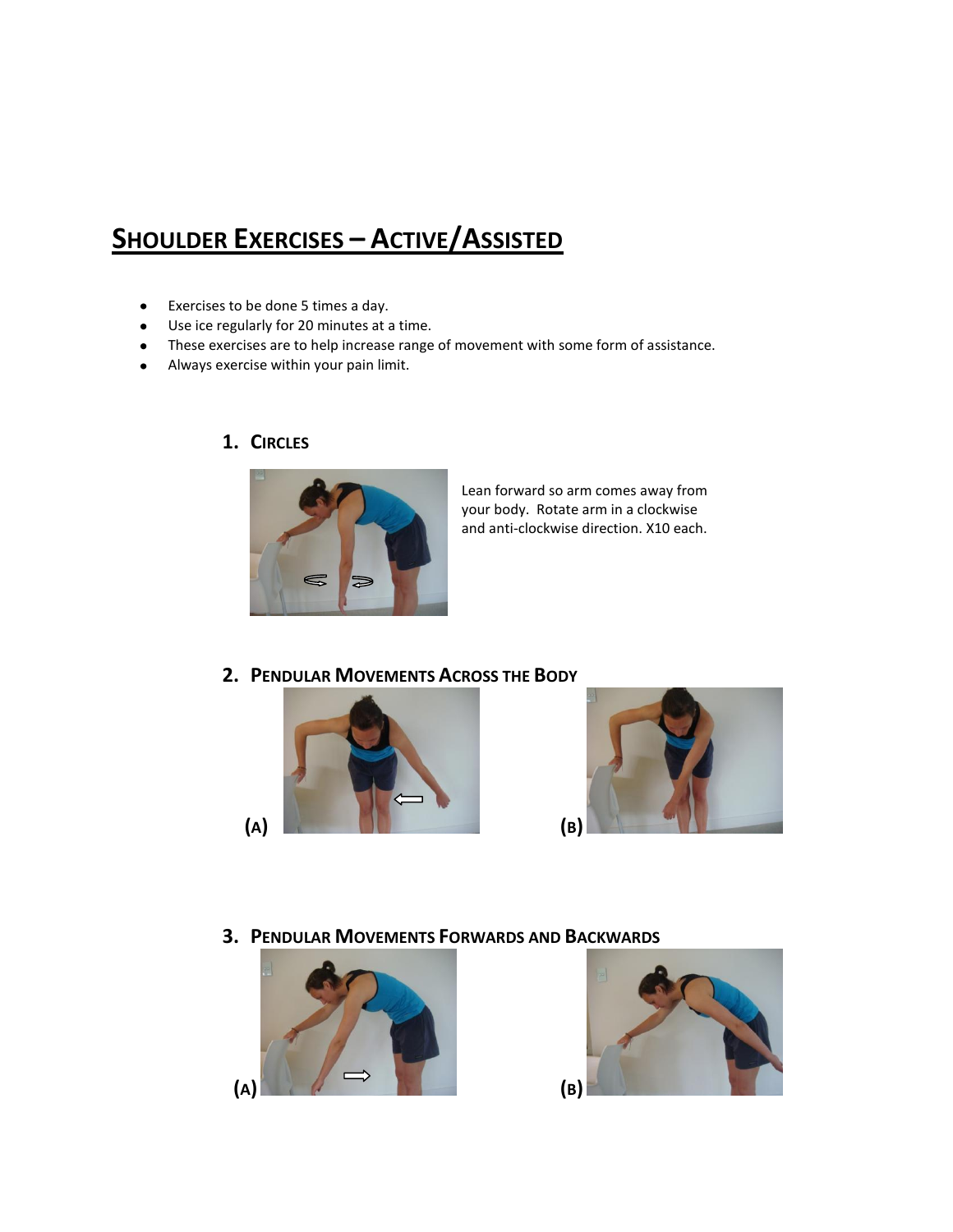# **SHOULDER EXERCISES – ACTIVE/ASSISTED**

- Exercises to be done 5 times a day.
- Use ice regularly for 20 minutes at a time.
- These exercises are to help increase range of movement with some form of assistance.
- Always exercise within your pain limit.



**1. CIRCLES**

Lean forward so arm comes away from your body. Rotate arm in a clockwise and anti-clockwise direction. X10 each.

**2. PENDULAR MOVEMENTS ACROSS THE BODY**





**3. PENDULAR MOVEMENTS FORWARDS AND BACKWARDS**



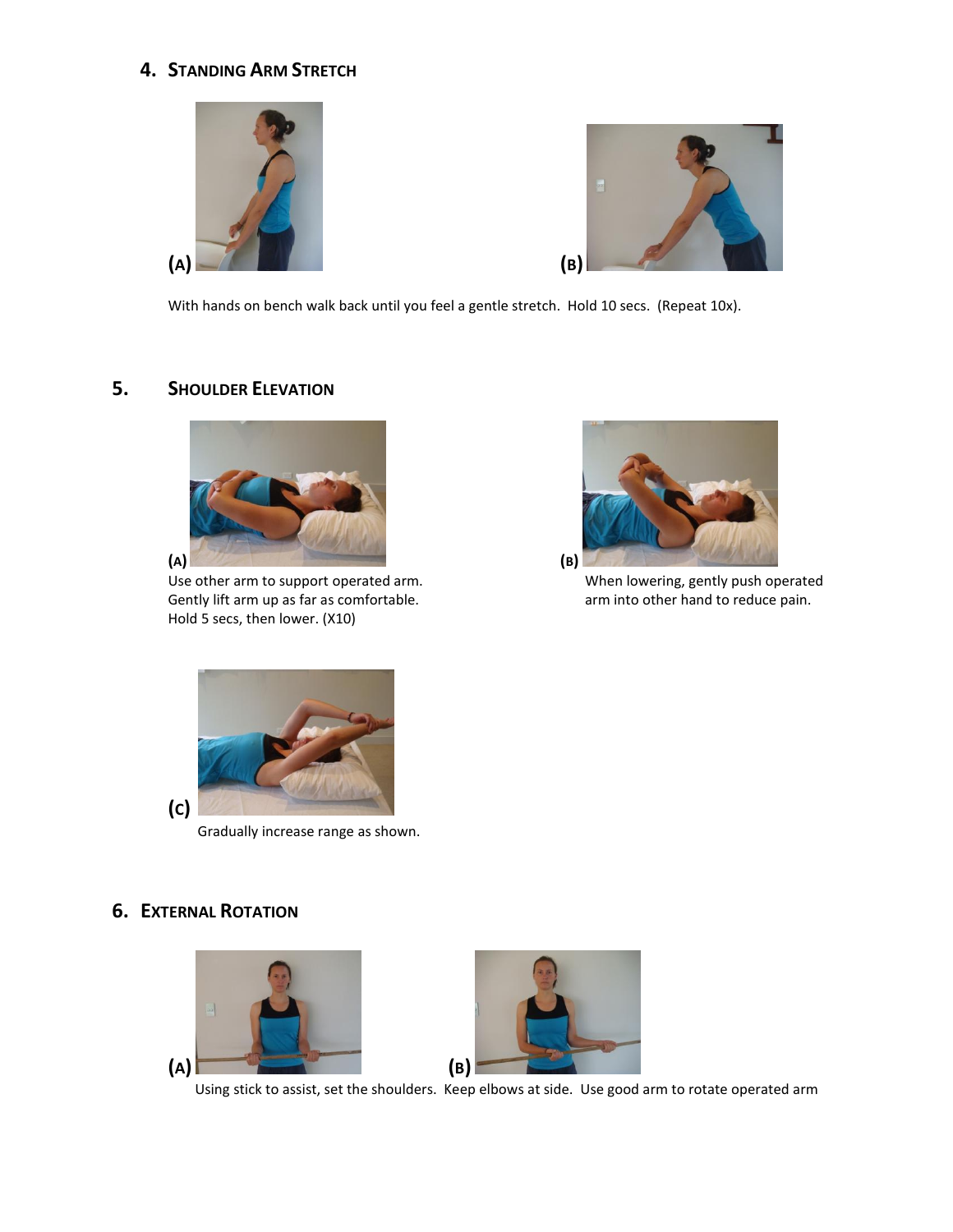## **4. STANDING ARM STRETCH**





With hands on bench walk back until you feel a gentle stretch. Hold 10 secs. (Repeat 10x).

### **5. SHOULDER ELEVATION**



Use other arm to support operated arm. The same when lowering, gently push operated Gently lift arm up as far as comfortable.  $\Box$  arm into other hand to reduce pain. Hold 5 secs, then lower. (X10)





Gradually increase range as shown.

### **6. EXTERNAL ROTATION**





Using stick to assist, set the shoulders. Keep elbows at side. Use good arm to rotate operated arm